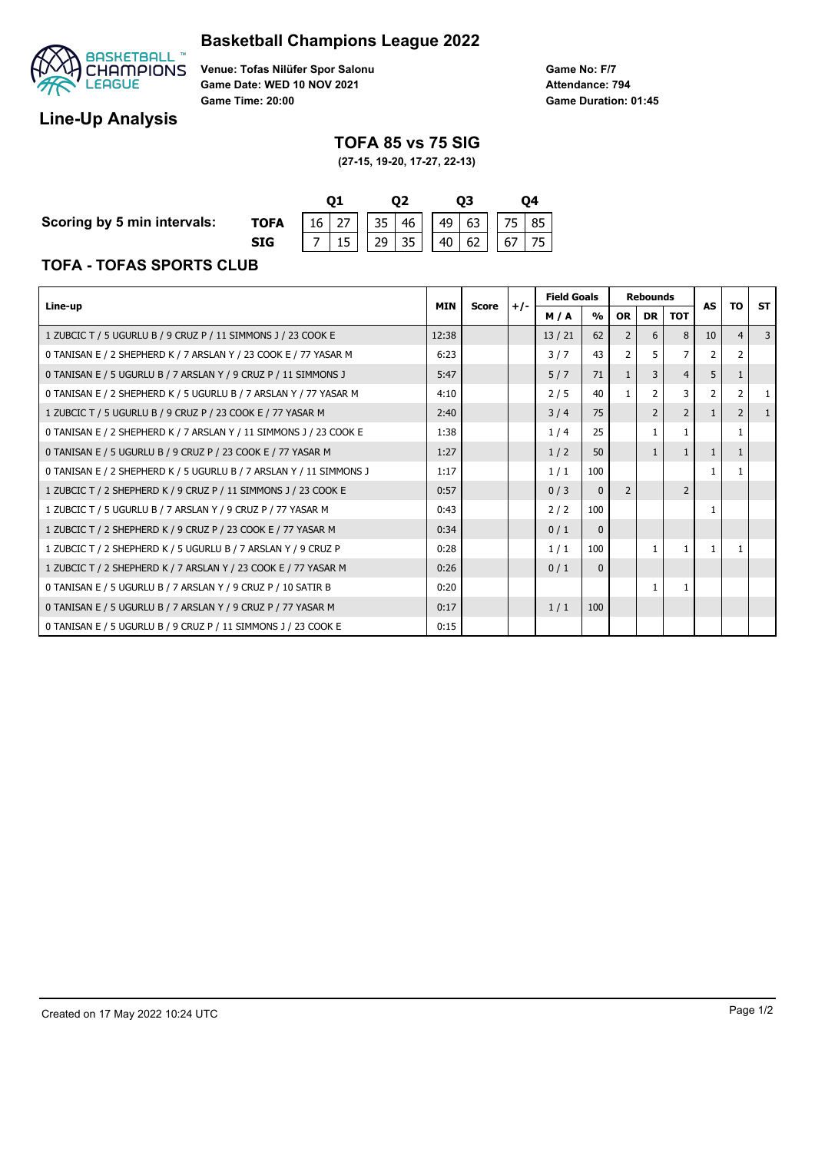## **Basketball Champions League 2022**



**Venue: Tofas Nilüfer Spor Salonu Game Date: WED 10 NOV 2021 Game Time: 20:00**

# **Line-Up Analysis**

### **TOFA 85 vs 75 SIG**

**Game No: F/7**

**Game Duration: 01:45 Attendance: 794**

**(27-15, 19-20, 17-27, 22-13)**

**Scoring by 5 min intervals:** 

**TOFA** 

| TOFA |  | $\vert$ 16 $\vert$ 27 $\vert$ 35 $\vert$ 46 $\vert$ 49 $\vert$ 63 $\vert$ 75 $\vert$ 85 $\vert$ |  |  |  |  |  |  |  |  |  |
|------|--|-------------------------------------------------------------------------------------------------|--|--|--|--|--|--|--|--|--|
| SIG  |  | $7   15   29   35   40   62   67   75  $                                                        |  |  |  |  |  |  |  |  |  |

### **TOFA - TOFAS SPORTS CLUB**

|                                                                     |            |              |       | <b>Field Goals</b> |                         | <b>Rebounds</b> |                |                | AS |                | <b>ST</b> |
|---------------------------------------------------------------------|------------|--------------|-------|--------------------|-------------------------|-----------------|----------------|----------------|----|----------------|-----------|
| Line-up                                                             | <b>MIN</b> | <b>Score</b> | $+/-$ | M/A                | $\mathbf{O}/\mathbf{O}$ | <b>OR</b>       | <b>DR</b>      | <b>TOT</b>     |    | ΤO             |           |
| 1 ZUBCIC T / 5 UGURLU B / 9 CRUZ P / 11 SIMMONS J / 23 COOK E       | 12:38      |              |       | 13/21              | 62                      | 2               | 6              | 8              | 10 | $\overline{4}$ | 3         |
| 0 TANISAN E / 2 SHEPHERD K / 7 ARSLAN Y / 23 COOK E / 77 YASAR M    | 6:23       |              |       | 3/7                | 43                      |                 | 5              |                |    |                |           |
| 0 TANISAN E / 5 UGURLU B / 7 ARSLAN Y / 9 CRUZ P / 11 SIMMONS J     | 5:47       |              |       | 5/7                | 71                      | $\mathbf{1}$    | 3              | 4              | 5  |                |           |
| 0 TANISAN E / 2 SHEPHERD K / 5 UGURLU B / 7 ARSLAN Y / 77 YASAR M   | 4:10       |              |       | 2/5                | 40                      |                 | 2              | 3              |    |                |           |
| 1 ZUBCIC T / 5 UGURLU B / 9 CRUZ P / 23 COOK E / 77 YASAR M         | 2:40       |              |       | 3/4                | 75                      |                 | $\overline{2}$ | $\overline{2}$ |    | $\overline{2}$ |           |
| 0 TANISAN E / 2 SHEPHERD K / 7 ARSLAN Y / 11 SIMMONS J / 23 COOK E  | 1:38       |              |       | 1/4                | 25                      |                 |                |                |    |                |           |
| 0 TANISAN E / 5 UGURLU B / 9 CRUZ P / 23 COOK E / 77 YASAR M        |            |              |       | 1/2                | 50                      |                 | $\mathbf{1}$   |                |    |                |           |
| 0 TANISAN E / 2 SHEPHERD K / 5 UGURLU B / 7 ARSLAN Y / 11 SIMMONS J | 1:17       |              |       | 1/1                | 100                     |                 |                |                | 1  |                |           |
| 1 ZUBCIC T / 2 SHEPHERD K / 9 CRUZ P / 11 SIMMONS J / 23 COOK E     | 0:57       |              |       | 0/3                | $\mathbf 0$             | 2               |                | 2              |    |                |           |
| 1 ZUBCIC T / 5 UGURLU B / 7 ARSLAN Y / 9 CRUZ P / 77 YASAR M        | 0:43       |              |       | 2/2                | 100                     |                 |                |                | 1  |                |           |
| 1 ZUBCIC T / 2 SHEPHERD K / 9 CRUZ P / 23 COOK E / 77 YASAR M       | 0:34       |              |       | 0/1                | $\mathbf{0}$            |                 |                |                |    |                |           |
| 1 ZUBCIC T / 2 SHEPHERD K / 5 UGURLU B / 7 ARSLAN Y / 9 CRUZ P      | 0:28       |              |       | 1/1                | 100                     |                 | $\mathbf{1}$   | 1              |    |                |           |
| 1 ZUBCIC T / 2 SHEPHERD K / 7 ARSLAN Y / 23 COOK E / 77 YASAR M     | 0:26       |              |       | 0/1                | $\mathbf{0}$            |                 |                |                |    |                |           |
| 0 TANISAN E / 5 UGURLU B / 7 ARSLAN Y / 9 CRUZ P / 10 SATIR B       | 0:20       |              |       |                    |                         |                 |                | 1              |    |                |           |
| 0 TANISAN E / 5 UGURLU B / 7 ARSLAN Y / 9 CRUZ P / 77 YASAR M       | 0:17       |              |       | 1/1                | 100                     |                 |                |                |    |                |           |
| 0 TANISAN E / 5 UGURLU B / 9 CRUZ P / 11 SIMMONS J / 23 COOK E      | 0:15       |              |       |                    |                         |                 |                |                |    |                |           |